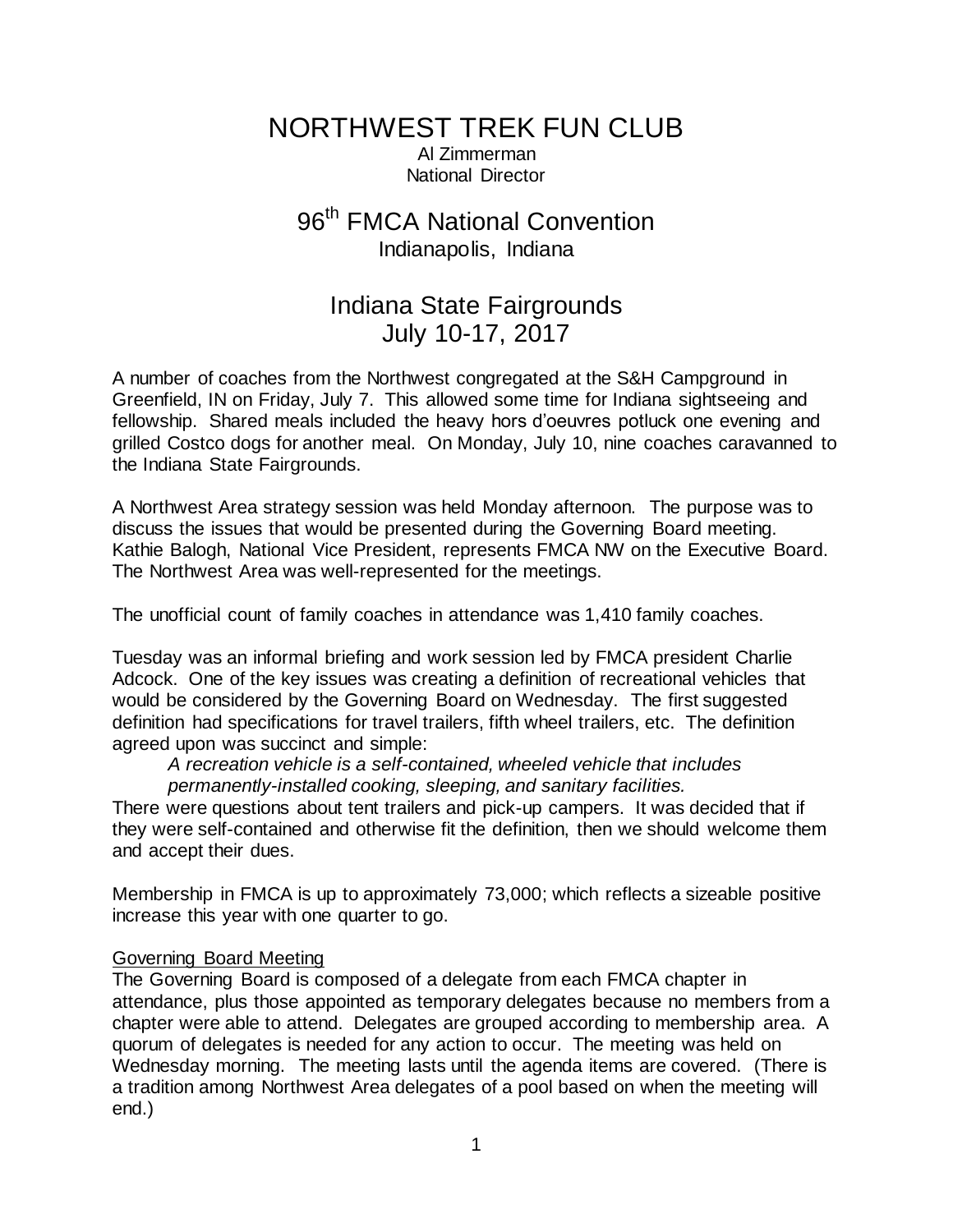NORTHWEST TREK FUN CLUB Al Zimmerman National Director

# 96<sup>th</sup> FMCA National Convention Indianapolis, Indiana

## Indiana State Fairgrounds July 10-17, 2017

A number of coaches from the Northwest congregated at the S&H Campground in Greenfield, IN on Friday, July 7. This allowed some time for Indiana sightseeing and fellowship. Shared meals included the heavy hors d'oeuvres potluck one evening and grilled Costco dogs for another meal. On Monday, July 10, nine coaches caravanned to the Indiana State Fairgrounds.

A Northwest Area strategy session was held Monday afternoon. The purpose was to discuss the issues that would be presented during the Governing Board meeting. Kathie Balogh, National Vice President, represents FMCA NW on the Executive Board. The Northwest Area was well-represented for the meetings.

The unofficial count of family coaches in attendance was 1,410 family coaches.

Tuesday was an informal briefing and work session led by FMCA president Charlie Adcock. One of the key issues was creating a definition of recreational vehicles that would be considered by the Governing Board on Wednesday. The first suggested definition had specifications for travel trailers, fifth wheel trailers, etc. The definition agreed upon was succinct and simple:

*A recreation vehicle is a self-contained, wheeled vehicle that includes permanently-installed cooking, sleeping, and sanitary facilities.*

There were questions about tent trailers and pick-up campers. It was decided that if they were self-contained and otherwise fit the definition, then we should welcome them and accept their dues.

Membership in FMCA is up to approximately 73,000; which reflects a sizeable positive increase this year with one quarter to go.

## Governing Board Meeting

The Governing Board is composed of a delegate from each FMCA chapter in attendance, plus those appointed as temporary delegates because no members from a chapter were able to attend. Delegates are grouped according to membership area. A quorum of delegates is needed for any action to occur. The meeting was held on Wednesday morning. The meeting lasts until the agenda items are covered. (There is a tradition among Northwest Area delegates of a pool based on when the meeting will end.)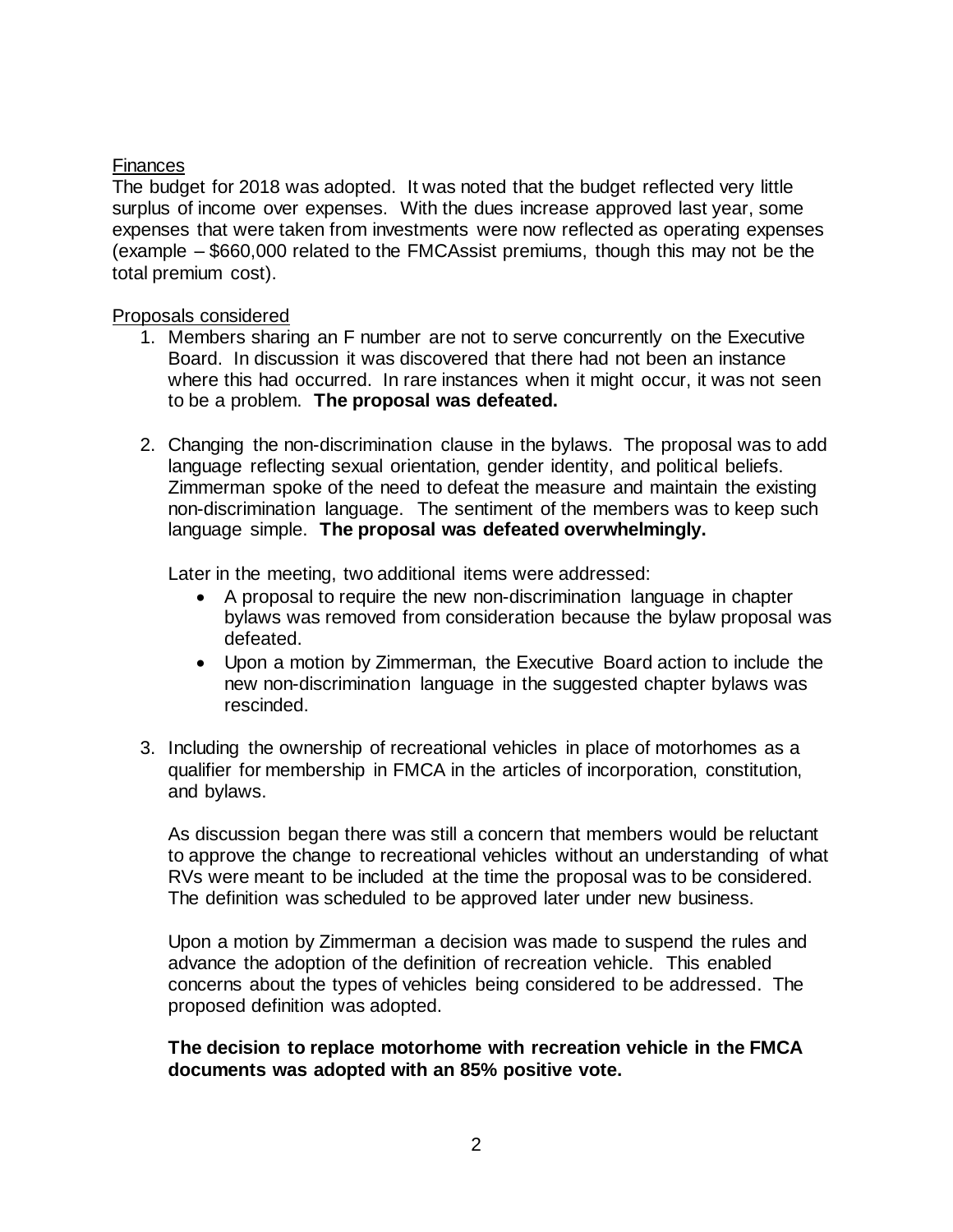#### Finances

The budget for 2018 was adopted. It was noted that the budget reflected very little surplus of income over expenses. With the dues increase approved last year, some expenses that were taken from investments were now reflected as operating expenses (example – \$660,000 related to the FMCAssist premiums, though this may not be the total premium cost).

#### Proposals considered

- 1. Members sharing an F number are not to serve concurrently on the Executive Board. In discussion it was discovered that there had not been an instance where this had occurred. In rare instances when it might occur, it was not seen to be a problem. **The proposal was defeated.**
- 2. Changing the non-discrimination clause in the bylaws. The proposal was to add language reflecting sexual orientation, gender identity, and political beliefs. Zimmerman spoke of the need to defeat the measure and maintain the existing non-discrimination language. The sentiment of the members was to keep such language simple. **The proposal was defeated overwhelmingly.**

Later in the meeting, two additional items were addressed:

- A proposal to require the new non-discrimination language in chapter bylaws was removed from consideration because the bylaw proposal was defeated.
- Upon a motion by Zimmerman, the Executive Board action to include the new non-discrimination language in the suggested chapter bylaws was rescinded.
- 3. Including the ownership of recreational vehicles in place of motorhomes as a qualifier for membership in FMCA in the articles of incorporation, constitution, and bylaws.

As discussion began there was still a concern that members would be reluctant to approve the change to recreational vehicles without an understanding of what RVs were meant to be included at the time the proposal was to be considered. The definition was scheduled to be approved later under new business.

Upon a motion by Zimmerman a decision was made to suspend the rules and advance the adoption of the definition of recreation vehicle. This enabled concerns about the types of vehicles being considered to be addressed. The proposed definition was adopted.

**The decision to replace motorhome with recreation vehicle in the FMCA documents was adopted with an 85% positive vote.**